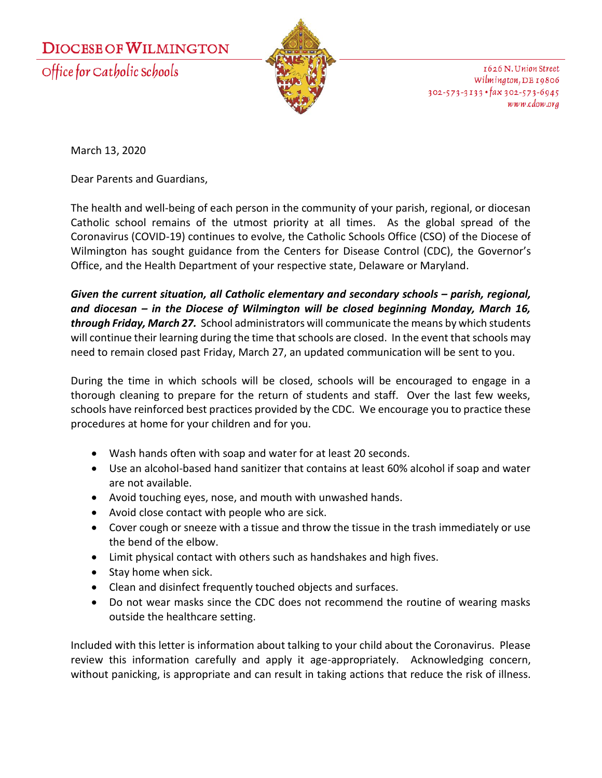## **DIOCESE OF WILMINGTON**

Office for Catholic Schools



1626 N. Union Street Wilmington, DE 19806  $302 - 573 - 3133$  · fax  $302 - 573 - 6945$ www.cdow.org

March 13, 2020

Dear Parents and Guardians,

The health and well-being of each person in the community of your parish, regional, or diocesan Catholic school remains of the utmost priority at all times. As the global spread of the Coronavirus (COVID-19) continues to evolve, the Catholic Schools Office (CSO) of the Diocese of Wilmington has sought guidance from the Centers for Disease Control (CDC), the Governor's Office, and the Health Department of your respective state, Delaware or Maryland.

*Given the current situation, all Catholic elementary and secondary schools – parish, regional, and diocesan – in the Diocese of Wilmington will be closed beginning Monday, March 16, through Friday, March 27.* School administrators will communicate the means by which students will continue their learning during the time that schools are closed. In the event that schools may need to remain closed past Friday, March 27, an updated communication will be sent to you.

During the time in which schools will be closed, schools will be encouraged to engage in a thorough cleaning to prepare for the return of students and staff. Over the last few weeks, schools have reinforced best practices provided by the CDC. We encourage you to practice these procedures at home for your children and for you.

- Wash hands often with soap and water for at least 20 seconds.
- Use an alcohol-based hand sanitizer that contains at least 60% alcohol if soap and water are not available.
- Avoid touching eyes, nose, and mouth with unwashed hands.
- Avoid close contact with people who are sick.
- Cover cough or sneeze with a tissue and throw the tissue in the trash immediately or use the bend of the elbow.
- Limit physical contact with others such as handshakes and high fives.
- Stay home when sick.
- Clean and disinfect frequently touched objects and surfaces.
- Do not wear masks since the CDC does not recommend the routine of wearing masks outside the healthcare setting.

Included with this letter is information about talking to your child about the Coronavirus. Please review this information carefully and apply it age-appropriately. Acknowledging concern, without panicking, is appropriate and can result in taking actions that reduce the risk of illness.